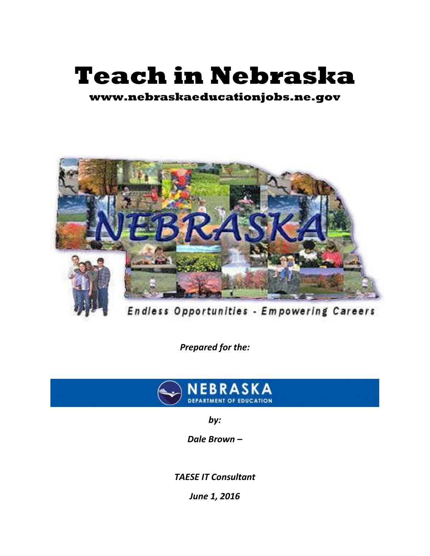# **Teach in Nebraska**

**www.nebraskaeducationjobs.ne.gov**



Endless Opportunities - Empowering Careers

*Prepared for the:*



*by:*

*Dale Brown –*

*TAESE IT Consultant*

*June 1, 2016*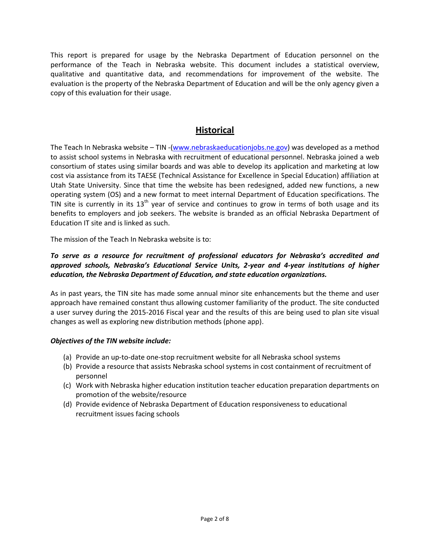This report is prepared for usage by the Nebraska Department of Education personnel on the performance of the Teach in Nebraska website. This document includes a statistical overview, qualitative and quantitative data, and recommendations for improvement of the website. The evaluation is the property of the Nebraska Department of Education and will be the only agency given a copy of this evaluation for their usage.

# **Historical**

The Teach In Nebraska website – TIN -[\(www.nebraskaeducationjobs.ne.gov\)](www.nebraskaeducationjobs.ne.gov) was developed as a method to assist school systems in Nebraska with recruitment of educational personnel. Nebraska joined a web consortium of states using similar boards and was able to develop its application and marketing at low cost via assistance from its TAESE (Technical Assistance for Excellence in Special Education) affiliation at Utah State University. Since that time the website has been redesigned, added new functions, a new operating system (OS) and a new format to meet internal Department of Education specifications. The TIN site is currently in its  $13<sup>th</sup>$  year of service and continues to grow in terms of both usage and its benefits to employers and job seekers. The website is branded as an official Nebraska Department of Education IT site and is linked as such.

The mission of the Teach In Nebraska website is to:

#### *To serve as a resource for recruitment of professional educators for Nebraska's accredited and approved schools, Nebraska's Educational Service Units, 2-year and 4-year institutions of higher education, the Nebraska Department of Education, and state education organizations.*

As in past years, the TIN site has made some annual minor site enhancements but the theme and user approach have remained constant thus allowing customer familiarity of the product. The site conducted a user survey during the 2015-2016 Fiscal year and the results of this are being used to plan site visual changes as well as exploring new distribution methods (phone app).

#### *Objectives of the TIN website include:*

- (a) Provide an up-to-date one-stop recruitment website for all Nebraska school systems
- (b) Provide a resource that assists Nebraska school systems in cost containment of recruitment of personnel
- (c) Work with Nebraska higher education institution teacher education preparation departments on promotion of the website/resource
- (d) Provide evidence of Nebraska Department of Education responsiveness to educational recruitment issues facing schools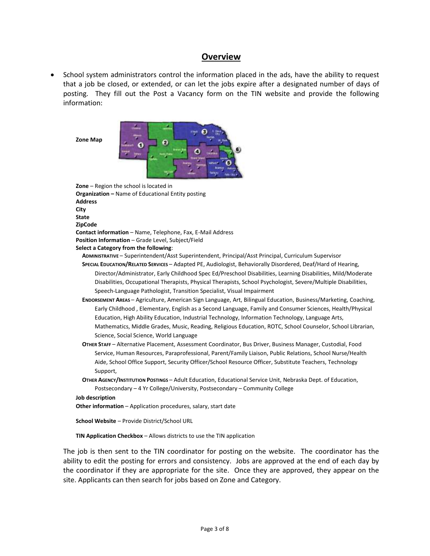#### **Overview**

 School system administrators control the information placed in the ads, have the ability to request that a job be closed, or extended, or can let the jobs expire after a designated number of days of posting. They fill out the Post a Vacancy form on the TIN website and provide the following information:

**Zone Map**



**Zone** – Region the school is located in **Organization –** Name of Educational Entity posting **Address City State ZipCode Contact information** – Name, Telephone, Fax, E-Mail Address **Position Information** – Grade Level, Subject/Field **Select a Category from the following**:

**ADMINISTRATIVE** – Superintendent/Asst Superintendent, Principal/Asst Principal, Curriculum Supervisor

- **SPECIAL EDUCATION/RELATED SERVICES** Adapted PE, Audiologist, Behaviorally Disordered, Deaf/Hard of Hearing, Director/Administrator, Early Childhood Spec Ed/Preschool Disabilities, Learning Disabilities, Mild/Moderate Disabilities, Occupational Therapists, Physical Therapists, School Psychologist, Severe/Multiple Disabilities, Speech-Language Pathologist, Transition Specialist, Visual Impairment
- **ENDORSEMENT AREAS** Agriculture, American Sign Language, Art, Bilingual Education, Business/Marketing, Coaching, Early Childhood , Elementary, English as a Second Language, Family and Consumer Sciences, Health/Physical Education, High Ability Education, Industrial Technology, Information Technology, Language Arts, Mathematics, Middle Grades, Music, Reading, Religious Education, ROTC, School Counselor, School Librarian, Science, Social Science, World Language
- **OTHER STAFF** Alternative Placement, Assessment Coordinator, Bus Driver, Business Manager, Custodial, Food Service, Human Resources, Paraprofessional, Parent/Family Liaison, Public Relations, School Nurse/Health Aide, School Office Support, Security Officer/School Resource Officer, Substitute Teachers, Technology Support,
- **OTHER AGENCY/INSTITUTION POSTINGS** Adult Education, Educational Service Unit, Nebraska Dept. of Education, Postsecondary – 4 Yr College/University, Postsecondary – Community College

#### **Job description**

**Other information** – Application procedures, salary, start date

**School Website** – Provide District/School URL

**TIN Application Checkbox** – Allows districts to use the TIN application

The job is then sent to the TIN coordinator for posting on the website. The coordinator has the ability to edit the posting for errors and consistency. Jobs are approved at the end of each day by the coordinator if they are appropriate for the site. Once they are approved, they appear on the site. Applicants can then search for jobs based on Zone and Category.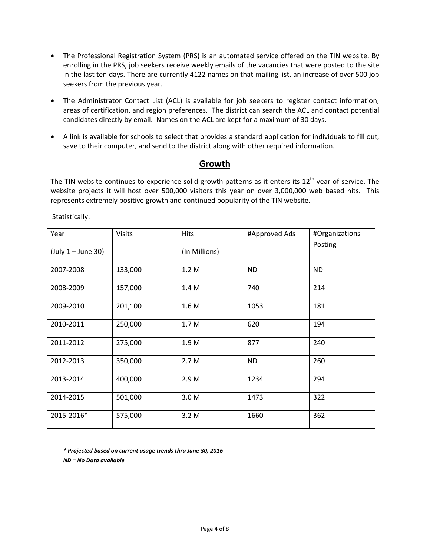- The Professional Registration System (PRS) is an automated service offered on the TIN website. By enrolling in the PRS, job seekers receive weekly emails of the vacancies that were posted to the site in the last ten days. There are currently 4122 names on that mailing list, an increase of over 500 job seekers from the previous year.
- The Administrator Contact List (ACL) is available for job seekers to register contact information, areas of certification, and region preferences. The district can search the ACL and contact potential candidates directly by email. Names on the ACL are kept for a maximum of 30 days.
- A link is available for schools to select that provides a standard application for individuals to fill out, save to their computer, and send to the district along with other required information.

#### **Growth**

The TIN website continues to experience solid growth patterns as it enters its  $12<sup>th</sup>$  year of service. The website projects it will host over 500,000 visitors this year on over 3,000,000 web based hits. This represents extremely positive growth and continued popularity of the TIN website.

Statistically:

| Year<br>$(July 1 - June 30)$ | <b>Visits</b> | <b>Hits</b><br>(In Millions) | #Approved Ads | #Organizations<br>Posting |
|------------------------------|---------------|------------------------------|---------------|---------------------------|
| 2007-2008                    | 133,000       | 1.2M                         | <b>ND</b>     | <b>ND</b>                 |
| 2008-2009                    | 157,000       | 1.4 M                        | 740           | 214                       |
| 2009-2010                    | 201,100       | 1.6 M                        | 1053          | 181                       |
| 2010-2011                    | 250,000       | 1.7 M                        | 620           | 194                       |
| 2011-2012                    | 275,000       | 1.9 M                        | 877           | 240                       |
| 2012-2013                    | 350,000       | 2.7 M                        | <b>ND</b>     | 260                       |
| 2013-2014                    | 400,000       | 2.9 M                        | 1234          | 294                       |
| 2014-2015                    | 501,000       | 3.0 M                        | 1473          | 322                       |
| 2015-2016*                   | 575,000       | 3.2M                         | 1660          | 362                       |

*\* Projected based on current usage trends thru June 30, 2016 ND = No Data available*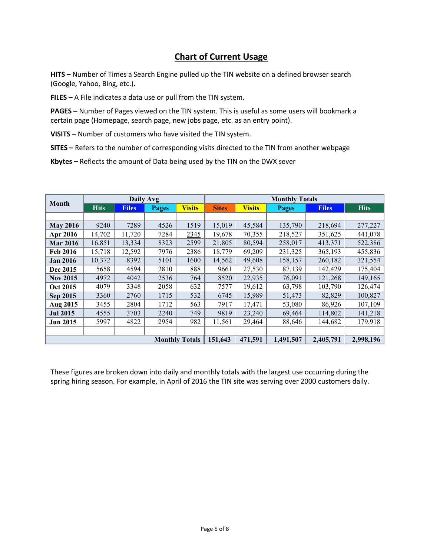# **Chart of Current Usage**

**HITS –** Number of Times a Search Engine pulled up the TIN website on a defined browser search (Google, Yahoo, Bing, etc.)**.**

**FILES –** A File indicates a data use or pull from the TIN system.

**PAGES –** Number of Pages viewed on the TIN system. This is useful as some users will bookmark a certain page (Homepage, search page, new jobs page, etc. as an entry point).

**VISITS –** Number of customers who have visited the TIN system.

**SITES –** Refers to the number of corresponding visits directed to the TIN from another webpage

**Kbytes –** Reflects the amount of Data being used by the TIN on the DWX sever

| <b>Month</b>          | <b>Daily Avg</b> |              |              | <b>Monthly Totals</b> |              |               |              |              |             |
|-----------------------|------------------|--------------|--------------|-----------------------|--------------|---------------|--------------|--------------|-------------|
|                       | <b>Hits</b>      | <b>Files</b> | <b>Pages</b> | <b>Visits</b>         | <b>Sites</b> | <b>Visits</b> | <b>Pages</b> | <b>Files</b> | <b>Hits</b> |
|                       |                  |              |              |                       |              |               |              |              |             |
| <b>May 2016</b>       | 9240             | 7289         | 4526         | 1519                  | 15,019       | 45,584        | 135,790      | 218,694      | 277,227     |
| Apr 2016              | 14,702           | 11,720       | 7284         | 2345                  | 19,678       | 70,355        | 218,527      | 351,625      | 441,078     |
| <b>Mar 2016</b>       | 16,851           | 13,334       | 8323         | 2599                  | 21,805       | 80,594        | 258,017      | 413,371      | 522,386     |
| Feb 2016              | 15,718           | 12,592       | 7976         | 2386                  | 18,779       | 69,209        | 231,325      | 365,193      | 455,836     |
| <b>Jan 2016</b>       | 10,372           | 8392         | 5101         | 1600                  | 14,562       | 49,608        | 158,157      | 260,182      | 321,554     |
| Dec 2015              | 5658             | 4594         | 2810         | 888                   | 9661         | 27,530        | 87,139       | 142,429      | 175,404     |
| <b>Nov 2015</b>       | 4972             | 4042         | 2536         | 764                   | 8520         | 22,935        | 76,091       | 121,268      | 149,165     |
| <b>Oct 2015</b>       | 4079             | 3348         | 2058         | 632                   | 7577         | 19,612        | 63,798       | 103,790      | 126,474     |
| Sep 2015              | 3360             | 2760         | 1715         | 532                   | 6745         | 15,989        | 51,473       | 82,829       | 100,827     |
| Aug 2015              | 3455             | 2804         | 1712         | 563                   | 7917         | 17,471        | 53,080       | 86,926       | 107,109     |
| <b>Jul 2015</b>       | 4555             | 3703         | 2240         | 749                   | 9819         | 23,240        | 69,464       | 114,802      | 141,218     |
| <b>Jun 2015</b>       | 5997             | 4822         | 2954         | 982                   | 11,561       | 29,464        | 88,646       | 144,682      | 179,918     |
|                       |                  |              |              |                       |              |               |              |              |             |
| <b>Monthly Totals</b> |                  |              | 151,643      | 471,591               | 1,491,507    | 2,405,791     | 2,998,196    |              |             |

These figures are broken down into daily and monthly totals with the largest use occurring during the spring hiring season. For example, in April of 2016 the TIN site was serving over 2000 customers daily.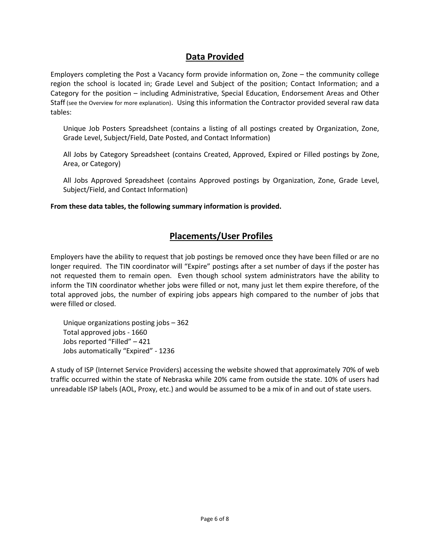### **Data Provided**

Employers completing the Post a Vacancy form provide information on, Zone – the community college region the school is located in; Grade Level and Subject of the position; Contact Information; and a Category for the position – including Administrative, Special Education, Endorsement Areas and Other Staff (see the Overview for more explanation). Using this information the Contractor provided several raw data tables:

Unique Job Posters Spreadsheet (contains a listing of all postings created by Organization, Zone, Grade Level, Subject/Field, Date Posted, and Contact Information)

All Jobs by Category Spreadsheet (contains Created, Approved, Expired or Filled postings by Zone, Area, or Category)

All Jobs Approved Spreadsheet (contains Approved postings by Organization, Zone, Grade Level, Subject/Field, and Contact Information)

**From these data tables, the following summary information is provided.**

### **Placements/User Profiles**

Employers have the ability to request that job postings be removed once they have been filled or are no longer required. The TIN coordinator will "Expire" postings after a set number of days if the poster has not requested them to remain open. Even though school system administrators have the ability to inform the TIN coordinator whether jobs were filled or not, many just let them expire therefore, of the total approved jobs, the number of expiring jobs appears high compared to the number of jobs that were filled or closed.

Unique organizations posting jobs – 362 Total approved jobs - 1660 Jobs reported "Filled" – 421 Jobs automatically "Expired" - 1236

A study of ISP (Internet Service Providers) accessing the website showed that approximately 70% of web traffic occurred within the state of Nebraska while 20% came from outside the state. 10% of users had unreadable ISP labels (AOL, Proxy, etc.) and would be assumed to be a mix of in and out of state users.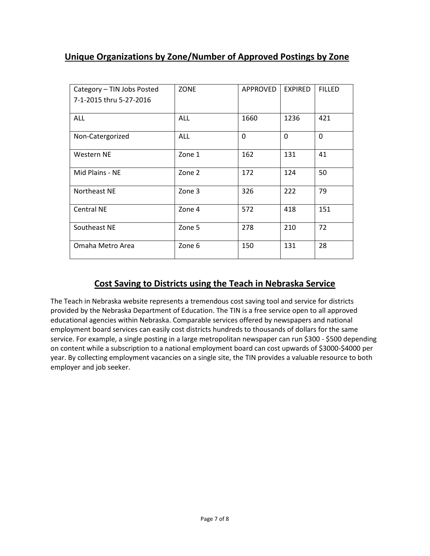# **Unique Organizations by Zone/Number of Approved Postings by Zone**

| Category - TIN Jobs Posted<br>7-1-2015 thru 5-27-2016 | <b>ZONE</b> | APPROVED | <b>EXPIRED</b> | <b>FILLED</b> |
|-------------------------------------------------------|-------------|----------|----------------|---------------|
| <b>ALL</b>                                            | ALL         | 1660     | 1236           | 421           |
| Non-Catergorized                                      | <b>ALL</b>  | $\Omega$ | $\Omega$       | $\Omega$      |
| Western NE                                            | Zone 1      | 162      | 131            | 41            |
| Mid Plains - NE                                       | Zone 2      | 172      | 124            | 50            |
| Northeast NE                                          | Zone 3      | 326      | 222            | 79            |
| Central NE                                            | Zone 4      | 572      | 418            | 151           |
| Southeast NE                                          | Zone 5      | 278      | 210            | 72            |
| Omaha Metro Area                                      | Zone 6      | 150      | 131            | 28            |

## **Cost Saving to Districts using the Teach in Nebraska Service**

The Teach in Nebraska website represents a tremendous cost saving tool and service for districts provided by the Nebraska Department of Education. The TIN is a free service open to all approved educational agencies within Nebraska. Comparable services offered by newspapers and national employment board services can easily cost districts hundreds to thousands of dollars for the same service. For example, a single posting in a large metropolitan newspaper can run \$300 - \$500 depending on content while a subscription to a national employment board can cost upwards of \$3000-\$4000 per year. By collecting employment vacancies on a single site, the TIN provides a valuable resource to both employer and job seeker.